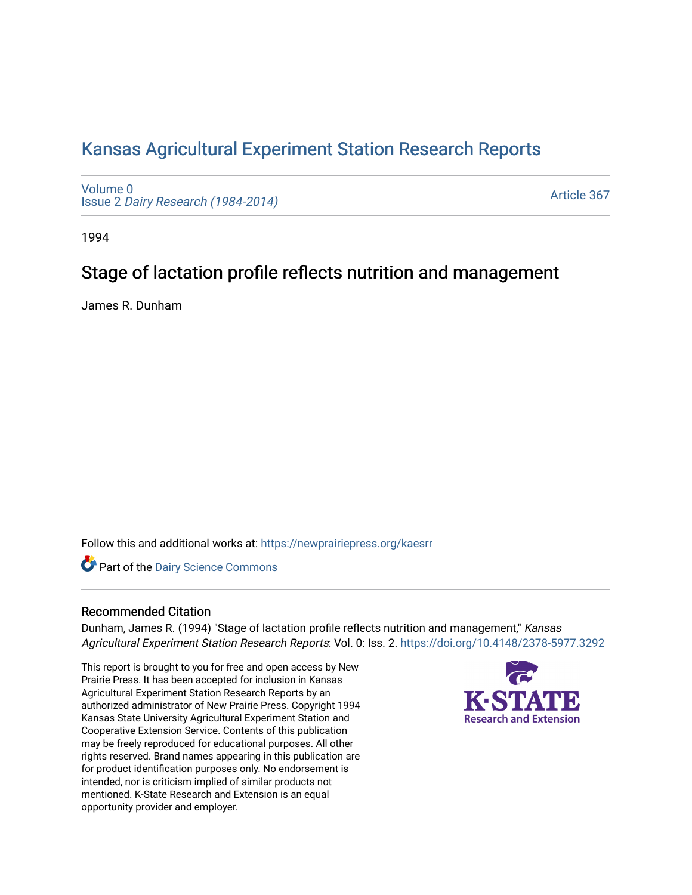## [Kansas Agricultural Experiment Station Research Reports](https://newprairiepress.org/kaesrr)

[Volume 0](https://newprairiepress.org/kaesrr/vol0) Issue 2 [Dairy Research \(1984-2014\)](https://newprairiepress.org/kaesrr/vol0/iss2) 

[Article 367](https://newprairiepress.org/kaesrr/vol0/iss2/367) 

1994

# Stage of lactation profile reflects nutrition and management

James R. Dunham

Follow this and additional works at: [https://newprairiepress.org/kaesrr](https://newprairiepress.org/kaesrr?utm_source=newprairiepress.org%2Fkaesrr%2Fvol0%2Fiss2%2F367&utm_medium=PDF&utm_campaign=PDFCoverPages) 

**Part of the Dairy Science Commons** 

### Recommended Citation

Dunham, James R. (1994) "Stage of lactation profile reflects nutrition and management," Kansas Agricultural Experiment Station Research Reports: Vol. 0: Iss. 2.<https://doi.org/10.4148/2378-5977.3292>

This report is brought to you for free and open access by New Prairie Press. It has been accepted for inclusion in Kansas Agricultural Experiment Station Research Reports by an authorized administrator of New Prairie Press. Copyright 1994 Kansas State University Agricultural Experiment Station and Cooperative Extension Service. Contents of this publication may be freely reproduced for educational purposes. All other rights reserved. Brand names appearing in this publication are for product identification purposes only. No endorsement is intended, nor is criticism implied of similar products not mentioned. K-State Research and Extension is an equal opportunity provider and employer.

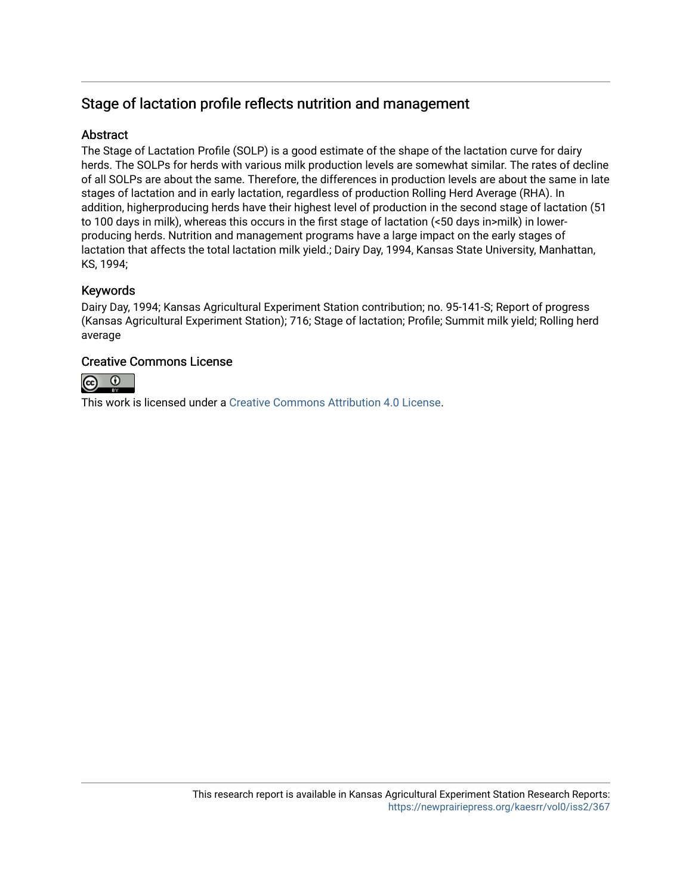## Stage of lactation profile reflects nutrition and management

## **Abstract**

The Stage of Lactation Profile (SOLP) is a good estimate of the shape of the lactation curve for dairy herds. The SOLPs for herds with various milk production levels are somewhat similar. The rates of decline of all SOLPs are about the same. Therefore, the differences in production levels are about the same in late stages of lactation and in early lactation, regardless of production Rolling Herd Average (RHA). In addition, higherproducing herds have their highest level of production in the second stage of lactation (51 to 100 days in milk), whereas this occurs in the first stage of lactation (<50 days in>milk) in lowerproducing herds. Nutrition and management programs have a large impact on the early stages of lactation that affects the total lactation milk yield.; Dairy Day, 1994, Kansas State University, Manhattan, KS, 1994;

## Keywords

Dairy Day, 1994; Kansas Agricultural Experiment Station contribution; no. 95-141-S; Report of progress (Kansas Agricultural Experiment Station); 716; Stage of lactation; Profile; Summit milk yield; Rolling herd average

## Creative Commons License



This work is licensed under a [Creative Commons Attribution 4.0 License](https://creativecommons.org/licenses/by/4.0/).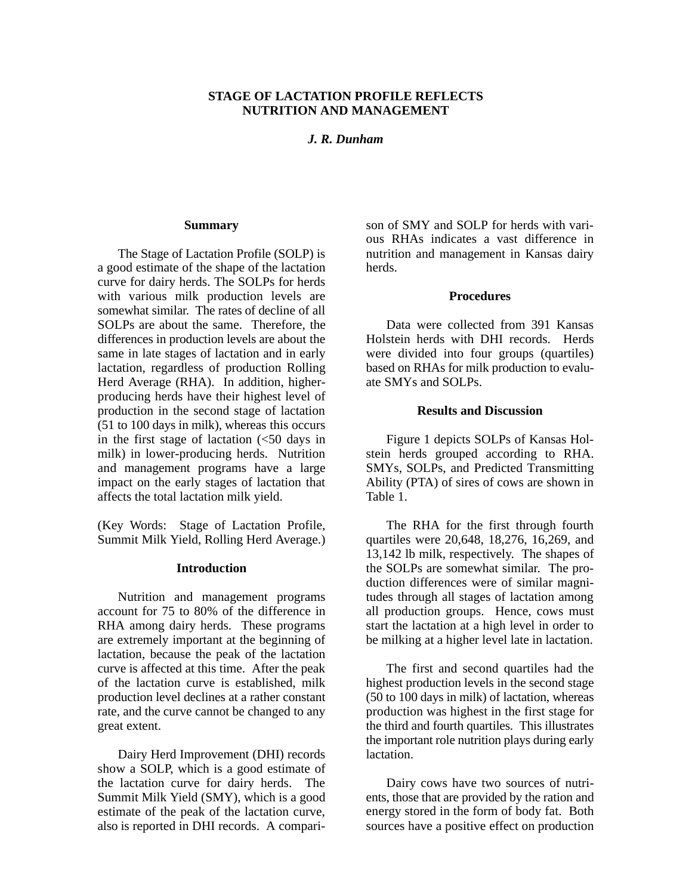### **STAGE OF LACTATION PROFILE REFLECTS NUTRITION AND MANAGEMENT**

*J. R. Dunham*

#### **Summary**

The Stage of Lactation Profile (SOLP) is a good estimate of the shape of the lactation curve for dairy herds. The SOLPs for herds with various milk production levels are somewhat similar. The rates of decline of all SOLPs are about the same. Therefore, the differences in production levels are about the same in late stages of lactation and in early lactation, regardless of production Rolling Herd Average (RHA). In addition, higherproducing herds have their highest level of production in the second stage of lactation (51 to 100 days in milk), whereas this occurs in the first stage of lactation  $\left( \langle 50 \rangle \right)$  days in milk) in lower-producing herds. Nutrition and management programs have a large impact on the early stages of lactation that affects the total lactation milk yield.

(Key Words: Stage of Lactation Profile, Summit Milk Yield, Rolling Herd Average.)

### **Introduction**

Nutrition and management programs account for 75 to 80% of the difference in RHA among dairy herds. These programs are extremely important at the beginning of lactation, because the peak of the lactation curve is affected at this time. After the peak of the lactation curve is established, milk production level declines at a rather constant rate, and the curve cannot be changed to any great extent.

Dairy Herd Improvement (DHI) records show a SOLP, which is a good estimate of the lactation curve for dairy herds. The Summit Milk Yield (SMY), which is a good estimate of the peak of the lactation curve, also is reported in DHI records. A compari-

son of SMY and SOLP for herds with various RHAs indicates a vast difference in nutrition and management in Kansas dairy herds.

#### **Procedures**

Data were collected from 391 Kansas Holstein herds with DHI records. Herds were divided into four groups (quartiles) based on RHAs for milk production to evaluate SMYs and SOLPs.

#### **Results and Discussion**

Figure 1 depicts SOLPs of Kansas Holstein herds grouped according to RHA. SMYs, SOLPs, and Predicted Transmitting Ability (PTA) of sires of cows are shown in Table 1.

The RHA for the first through fourth quartiles were 20,648, 18,276, 16,269, and 13,142 lb milk, respectively. The shapes of the SOLPs are somewhat similar. The production differences were of similar magnitudes through all stages of lactation among all production groups. Hence, cows must start the lactation at a high level in order to be milking at a higher level late in lactation.

The first and second quartiles had the highest production levels in the second stage (50 to 100 days in milk) of lactation, whereas production was highest in the first stage for the third and fourth quartiles. This illustrates the important role nutrition plays during early lactation.

Dairy cows have two sources of nutrients, those that are provided by the ration and energy stored in the form of body fat. Both sources have a positive effect on production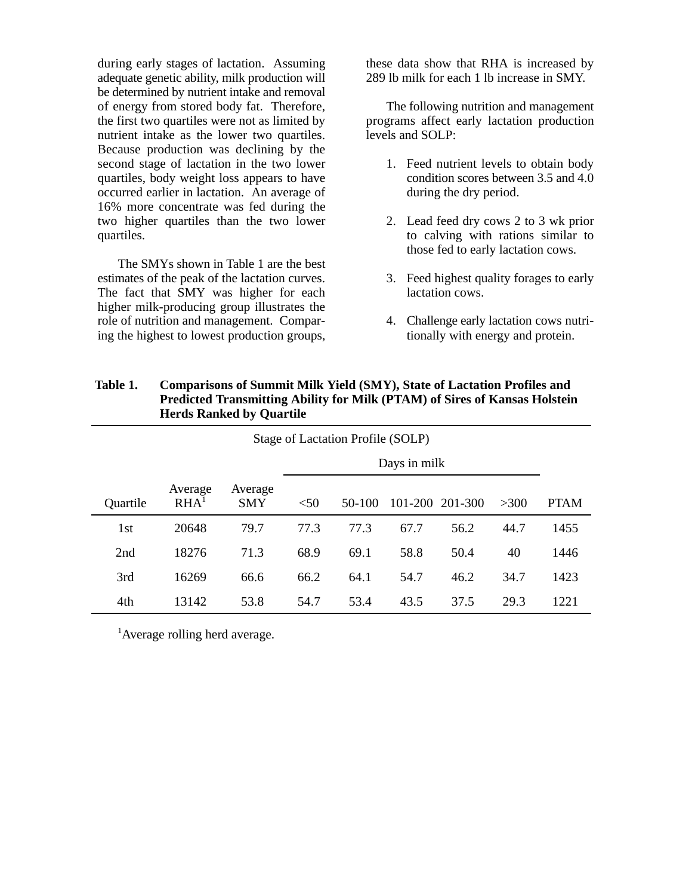during early stages of lactation. Assuming adequate genetic ability, milk production will be determined by nutrient intake and removal of energy from stored body fat. Therefore, the first two quartiles were not as limited by nutrient intake as the lower two quartiles. Because production was declining by the second stage of lactation in the two lower quartiles, body weight loss appears to have occurred earlier in lactation. An average of 16% more concentrate was fed during the two higher quartiles than the two lower quartiles.

The SMYs shown in Table 1 are the best estimates of the peak of the lactation curves. The fact that SMY was higher for each higher milk-producing group illustrates the role of nutrition and management. Comparing the highest to lowest production groups,

these data show that RHA is increased by 289 lb milk for each 1 lb increase in SMY.

The following nutrition and management programs affect early lactation production levels and SOLP:

- 1. Feed nutrient levels to obtain body condition scores between 3.5 and 4.0 during the dry period.
- 2. Lead feed dry cows 2 to 3 wk prior to calving with rations similar to those fed to early lactation cows.
- 3. Feed highest quality forages to early lactation cows.
- 4. Challenge early lactation cows nutritionally with energy and protein.

| Stage of Lactation Profile (SOLP) |                             |                |              |          |      |                 |        |             |
|-----------------------------------|-----------------------------|----------------|--------------|----------|------|-----------------|--------|-------------|
|                                   |                             |                | Days in milk |          |      |                 |        |             |
| Quartile                          | Average<br>RHA <sup>1</sup> | Average<br>SMY | $<$ 50       | $50-100$ |      | 101-200 201-300 | $>300$ | <b>PTAM</b> |
| 1st                               | 20648                       | 79.7           | 77.3         | 77.3     | 67.7 | 56.2            | 44.7   | 1455        |
| 2nd                               | 18276                       | 71.3           | 68.9         | 69.1     | 58.8 | 50.4            | 40     | 1446        |
| 3rd                               | 16269                       | 66.6           | 66.2         | 64.1     | 54.7 | 46.2            | 34.7   | 1423        |
| 4th                               | 13142                       | 53.8           | 54.7         | 53.4     | 43.5 | 37.5            | 29.3   | 1221        |

**Table 1. Comparisons of Summit Milk Yield (SMY), State of Lactation Profiles and Predicted Transmitting Ability for Milk (PTAM) of Sires of Kansas Holstein Herds Ranked by Quartile**

<sup>1</sup>Average rolling herd average.